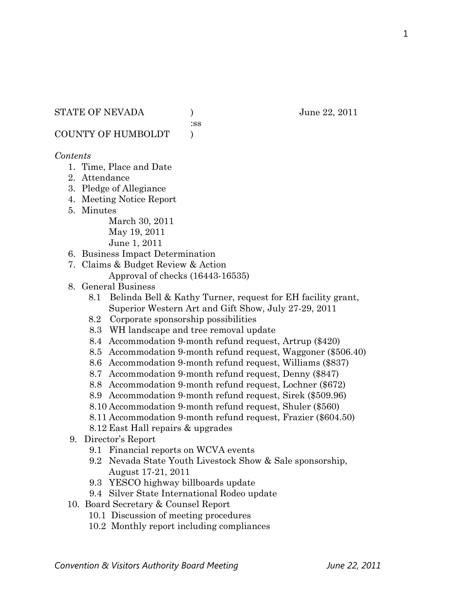#### STATE OF NEVADA ) June 22, 2011

:ss

COUNTY OF HUMBOLDT )

#### *Contents*

- 1. Time, Place and Date
- 2. Attendance
- 3. Pledge of Allegiance
- 4. Meeting Notice Report
- 5. Minutes

March 30, 2011 May 19, 2011 June 1, 2011

- 6. Business Impact Determination
- 7. Claims & Budget Review & Action
	- Approval of checks (16443-16535)
- 8. General Business
	- 8.1 Belinda Bell & Kathy Turner, request for EH facility grant, Superior Western Art and Gift Show, July 27-29, 2011
	- 8.2 Corporate sponsorship possibilities
	- 8.3 WH landscape and tree removal update
	- 8.4 Accommodation 9-month refund request, Artrup (\$420)
	- 8.5 Accommodation 9-month refund request, Waggoner (\$506.40)
	- 8.6 Accommodation 9-month refund request, Williams (\$837)
	- 8.7 Accommodation 9-month refund request, Denny (\$847)
	- 8.8 Accommodation 9-month refund request, Lochner (\$672)
	- 8.9 Accommodation 9-month refund request, Sirek (\$509.96)
	- 8.10 Accommodation 9-month refund request, Shuler (\$560)
	- 8.11 Accommodation 9-month refund request, Frazier (\$604.50)
	- 8.12 East Hall repairs & upgrades
- 9. Director's Report
	- 9.1 Financial reports on WCVA events
	- 9.2 Nevada State Youth Livestock Show & Sale sponsorship, August 17-21, 2011
	- 9.3 YESCO highway billboards update
	- 9.4 Silver State International Rodeo update
- 10. Board Secretary & Counsel Report
	- 10.1 Discussion of meeting procedures
	- 10.2 Monthly report including compliances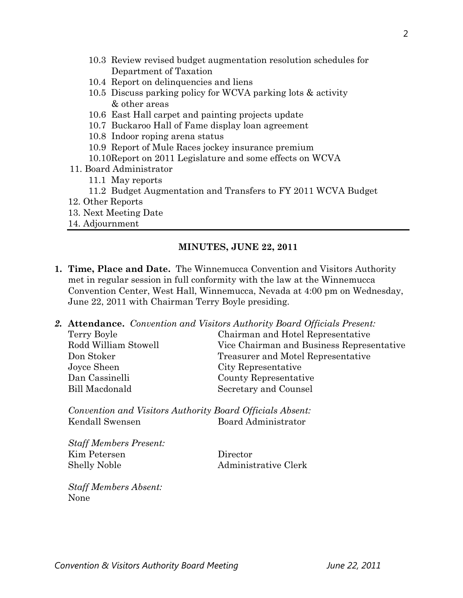- 10.3 Review revised budget augmentation resolution schedules for Department of Taxation
- 10.4 Report on delinquencies and liens
- 10.5 Discuss parking policy for WCVA parking lots & activity & other areas
- 10.6 East Hall carpet and painting projects update
- 10.7 Buckaroo Hall of Fame display loan agreement
- 10.8 Indoor roping arena status
- 10.9 Report of Mule Races jockey insurance premium
- 10.10Report on 2011 Legislature and some effects on WCVA
- 11. Board Administrator
	- 11.1 May reports
	- 11.2 Budget Augmentation and Transfers to FY 2011 WCVA Budget
- 12. Other Reports
- 13. Next Meeting Date
- 14. Adjournment

#### **MINUTES, JUNE 22, 2011**

- **1. Time, Place and Date.** The Winnemucca Convention and Visitors Authority met in regular session in full conformity with the law at the Winnemucca Convention Center, West Hall, Winnemucca, Nevada at 4:00 pm on Wednesday, June 22, 2011 with Chairman Terry Boyle presiding.
- *2.* **Attendance.** *Convention and Visitors Authority Board Officials Present:*

| Chairman and Hotel Representative         |
|-------------------------------------------|
| Vice Chairman and Business Representative |
| Treasurer and Motel Representative        |
| City Representative                       |
| County Representative                     |
| Secretary and Counsel                     |
|                                           |

*Convention and Visitors Authority Board Officials Absent:*  Kendall Swensen Board Administrator

*Staff Members Present:*  Kim Petersen Director Shelly Noble Administrative Clerk

*Staff Members Absent:*  None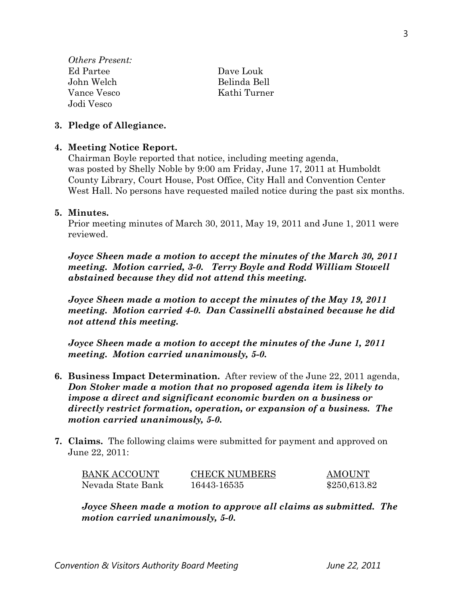| <i>Others Present:</i> |              |
|------------------------|--------------|
| Ed Partee              | Dave Louk    |
| John Welch             | Belinda Bell |
| Vance Vesco            | Kathi Turner |
| Jodi Vesco             |              |

#### **3. Pledge of Allegiance.**

#### **4. Meeting Notice Report.**

Chairman Boyle reported that notice, including meeting agenda, was posted by Shelly Noble by 9:00 am Friday, June 17, 2011 at Humboldt County Library, Court House, Post Office, City Hall and Convention Center West Hall. No persons have requested mailed notice during the past six months.

#### **5. Minutes.**

Prior meeting minutes of March 30, 2011, May 19, 2011 and June 1, 2011 were reviewed.

*Joyce Sheen made a motion to accept the minutes of the March 30, 2011 meeting. Motion carried, 3-0. Terry Boyle and Rodd William Stowell abstained because they did not attend this meeting.* 

*Joyce Sheen made a motion to accept the minutes of the May 19, 2011 meeting. Motion carried 4-0. Dan Cassinelli abstained because he did not attend this meeting.* 

*Joyce Sheen made a motion to accept the minutes of the June 1, 2011 meeting. Motion carried unanimously, 5-0.* 

- **6. Business Impact Determination.** After review of the June 22, 2011 agenda, *Don Stoker made a motion that no proposed agenda item is likely to impose a direct and significant economic burden on a business or directly restrict formation, operation, or expansion of a business. The motion carried unanimously, 5-0.*
- **7. Claims.** The following claims were submitted for payment and approved on June 22, 2011:

| BANK ACCOUNT      | <b>CHECK NUMBERS</b> | <b>AMOUNT</b> |
|-------------------|----------------------|---------------|
| Nevada State Bank | 16443-16535          | \$250,613.82  |

*Joyce Sheen made a motion to approve all claims as submitted. The motion carried unanimously, 5-0.*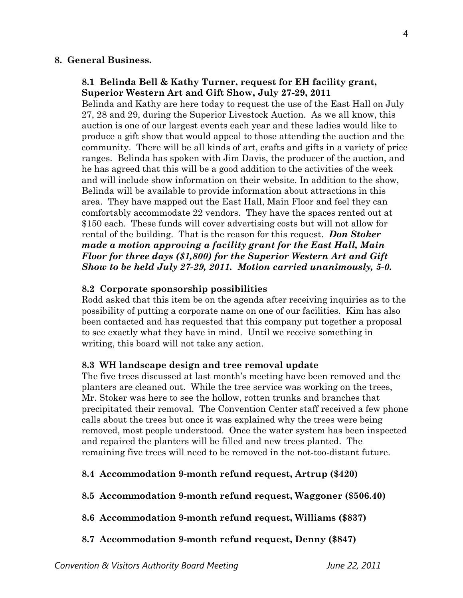### **8. General Business.**

### **8.1 Belinda Bell & Kathy Turner, request for EH facility grant, Superior Western Art and Gift Show, July 27-29, 2011**

Belinda and Kathy are here today to request the use of the East Hall on July 27, 28 and 29, during the Superior Livestock Auction. As we all know, this auction is one of our largest events each year and these ladies would like to produce a gift show that would appeal to those attending the auction and the community. There will be all kinds of art, crafts and gifts in a variety of price ranges. Belinda has spoken with Jim Davis, the producer of the auction, and he has agreed that this will be a good addition to the activities of the week and will include show information on their website. In addition to the show, Belinda will be available to provide information about attractions in this area. They have mapped out the East Hall, Main Floor and feel they can comfortably accommodate 22 vendors. They have the spaces rented out at \$150 each. These funds will cover advertising costs but will not allow for rental of the building. That is the reason for this request. *Don Stoker made a motion approving a facility grant for the East Hall, Main Floor for three days (\$1,800) for the Superior Western Art and Gift Show to be held July 27-29, 2011. Motion carried unanimously, 5-0.* 

### **8.2 Corporate sponsorship possibilities**

Rodd asked that this item be on the agenda after receiving inquiries as to the possibility of putting a corporate name on one of our facilities. Kim has also been contacted and has requested that this company put together a proposal to see exactly what they have in mind. Until we receive something in writing, this board will not take any action.

#### **8.3 WH landscape design and tree removal update**

The five trees discussed at last month's meeting have been removed and the planters are cleaned out. While the tree service was working on the trees, Mr. Stoker was here to see the hollow, rotten trunks and branches that precipitated their removal. The Convention Center staff received a few phone calls about the trees but once it was explained why the trees were being removed, most people understood. Once the water system has been inspected and repaired the planters will be filled and new trees planted. The remaining five trees will need to be removed in the not-too-distant future.

#### **8.4 Accommodation 9-month refund request, Artrup (\$420)**

- **8.5 Accommodation 9-month refund request, Waggoner (\$506.40)**
- **8.6 Accommodation 9-month refund request, Williams (\$837)**
- **8.7 Accommodation 9-month refund request, Denny (\$847)**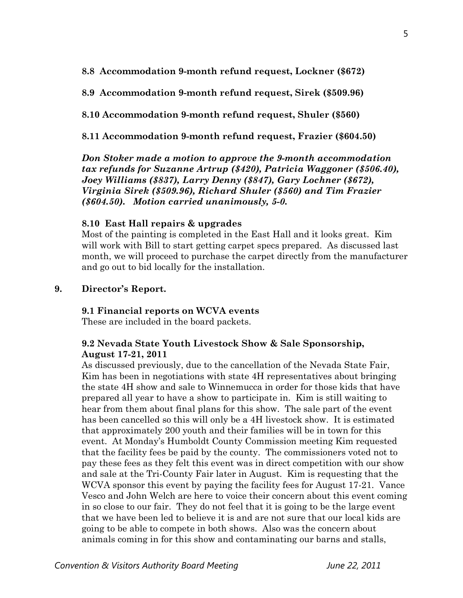**8.8 Accommodation 9-month refund request, Lockner (\$672)** 

**8.9 Accommodation 9-month refund request, Sirek (\$509.96)** 

**8.10 Accommodation 9-month refund request, Shuler (\$560)** 

**8.11 Accommodation 9-month refund request, Frazier (\$604.50)** 

*Don Stoker made a motion to approve the 9-month accommodation tax refunds for Suzanne Artrup (\$420), Patricia Waggoner (\$506.40), Joey Williams (\$837), Larry Denny (\$847), Gary Lochner (\$672), Virginia Sirek (\$509.96), Richard Shuler (\$560) and Tim Frazier (\$604.50). Motion carried unanimously, 5-0.*

### **8.10 East Hall repairs & upgrades**

Most of the painting is completed in the East Hall and it looks great. Kim will work with Bill to start getting carpet specs prepared. As discussed last month, we will proceed to purchase the carpet directly from the manufacturer and go out to bid locally for the installation.

### **9. Director's Report.**

### **9.1 Financial reports on WCVA events**

These are included in the board packets.

### **9.2 Nevada State Youth Livestock Show & Sale Sponsorship, August 17-21, 2011**

As discussed previously, due to the cancellation of the Nevada State Fair, Kim has been in negotiations with state 4H representatives about bringing the state 4H show and sale to Winnemucca in order for those kids that have prepared all year to have a show to participate in. Kim is still waiting to hear from them about final plans for this show. The sale part of the event has been cancelled so this will only be a 4H livestock show. It is estimated that approximately 200 youth and their families will be in town for this event. At Monday's Humboldt County Commission meeting Kim requested that the facility fees be paid by the county. The commissioners voted not to pay these fees as they felt this event was in direct competition with our show and sale at the Tri-County Fair later in August. Kim is requesting that the WCVA sponsor this event by paying the facility fees for August 17-21. Vance Vesco and John Welch are here to voice their concern about this event coming in so close to our fair. They do not feel that it is going to be the large event that we have been led to believe it is and are not sure that our local kids are going to be able to compete in both shows. Also was the concern about animals coming in for this show and contaminating our barns and stalls,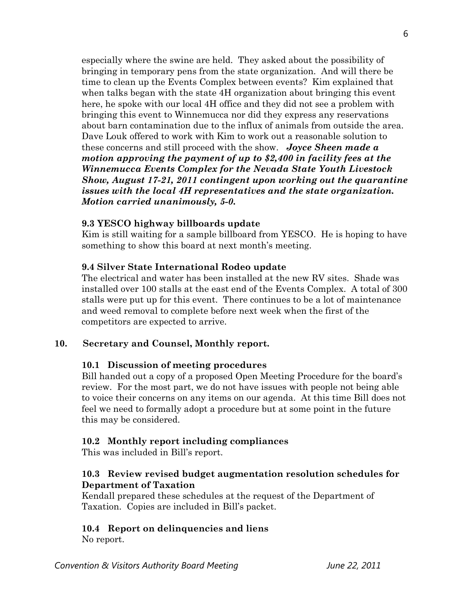especially where the swine are held. They asked about the possibility of bringing in temporary pens from the state organization. And will there be time to clean up the Events Complex between events? Kim explained that when talks began with the state 4H organization about bringing this event here, he spoke with our local 4H office and they did not see a problem with bringing this event to Winnemucca nor did they express any reservations about barn contamination due to the influx of animals from outside the area. Dave Louk offered to work with Kim to work out a reasonable solution to these concerns and still proceed with the show. *Joyce Sheen made a motion approving the payment of up to \$2,400 in facility fees at the Winnemucca Events Complex for the Nevada State Youth Livestock Show, August 17-21, 2011 contingent upon working out the quarantine issues with the local 4H representatives and the state organization. Motion carried unanimously, 5-0.* 

### **9.3 YESCO highway billboards update**

Kim is still waiting for a sample billboard from YESCO. He is hoping to have something to show this board at next month's meeting.

### **9.4 Silver State International Rodeo update**

The electrical and water has been installed at the new RV sites. Shade was installed over 100 stalls at the east end of the Events Complex. A total of 300 stalls were put up for this event. There continues to be a lot of maintenance and weed removal to complete before next week when the first of the competitors are expected to arrive.

## **10. Secretary and Counsel, Monthly report.**

## **10.1 Discussion of meeting procedures**

Bill handed out a copy of a proposed Open Meeting Procedure for the board's review. For the most part, we do not have issues with people not being able to voice their concerns on any items on our agenda. At this time Bill does not feel we need to formally adopt a procedure but at some point in the future this may be considered.

## **10.2 Monthly report including compliances**

This was included in Bill's report.

## **10.3 Review revised budget augmentation resolution schedules for Department of Taxation**

Kendall prepared these schedules at the request of the Department of Taxation. Copies are included in Bill's packet.

## **10.4 Report on delinquencies and liens**

No report.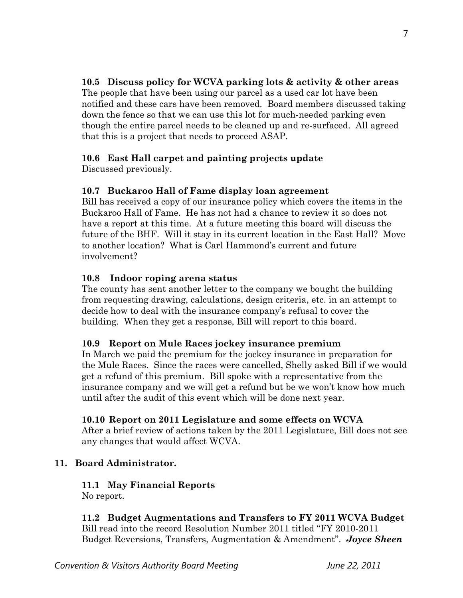# **10.5 Discuss policy for WCVA parking lots & activity & other areas**

The people that have been using our parcel as a used car lot have been notified and these cars have been removed. Board members discussed taking down the fence so that we can use this lot for much-needed parking even though the entire parcel needs to be cleaned up and re-surfaced. All agreed that this is a project that needs to proceed ASAP.

## **10.6 East Hall carpet and painting projects update**

Discussed previously.

## **10.7 Buckaroo Hall of Fame display loan agreement**

Bill has received a copy of our insurance policy which covers the items in the Buckaroo Hall of Fame. He has not had a chance to review it so does not have a report at this time. At a future meeting this board will discuss the future of the BHF. Will it stay in its current location in the East Hall? Move to another location? What is Carl Hammond's current and future involvement?

## **10.8 Indoor roping arena status**

The county has sent another letter to the company we bought the building from requesting drawing, calculations, design criteria, etc. in an attempt to decide how to deal with the insurance company's refusal to cover the building. When they get a response, Bill will report to this board.

## **10.9 Report on Mule Races jockey insurance premium**

In March we paid the premium for the jockey insurance in preparation for the Mule Races. Since the races were cancelled, Shelly asked Bill if we would get a refund of this premium. Bill spoke with a representative from the insurance company and we will get a refund but be we won't know how much until after the audit of this event which will be done next year.

# **10.10 Report on 2011 Legislature and some effects on WCVA**

After a brief review of actions taken by the 2011 Legislature, Bill does not see any changes that would affect WCVA.

# **11. Board Administrator.**

#### **11.1 May Financial Reports**  No report.

**11.2 Budget Augmentations and Transfers to FY 2011 WCVA Budget**  Bill read into the record Resolution Number 2011 titled "FY 2010-2011 Budget Reversions, Transfers, Augmentation & Amendment". *Joyce Sheen*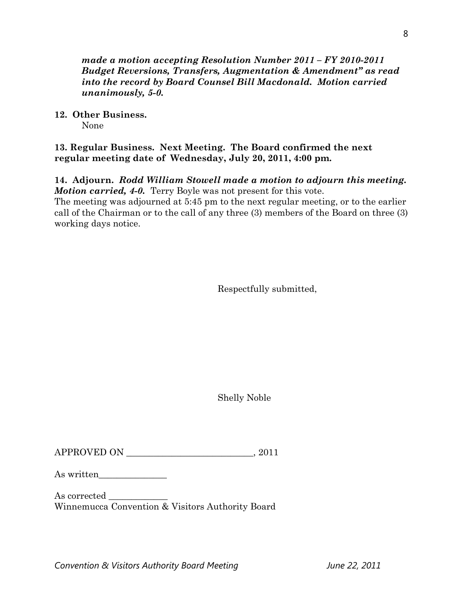*made a motion accepting Resolution Number 2011 – FY 2010-2011 Budget Reversions, Transfers, Augmentation & Amendment" as read into the record by Board Counsel Bill Macdonald. Motion carried unanimously, 5-0.* 

### **12. Other Business.**

None

### **13. Regular Business. Next Meeting. The Board confirmed the next regular meeting date of Wednesday, July 20, 2011, 4:00 pm.**

**14. Adjourn.** *Rodd William Stowell made a motion to adjourn this meeting. Motion carried, 4-0.* Terry Boyle was not present for this vote.

The meeting was adjourned at 5:45 pm to the next regular meeting, or to the earlier call of the Chairman or to the call of any three (3) members of the Board on three (3) working days notice.

Respectfully submitted,

Shelly Noble

APPROVED ON \_\_\_\_\_\_\_\_\_\_\_\_\_\_\_\_\_\_\_\_\_\_\_\_\_\_\_\_, 2011

As written\_\_\_\_\_\_\_\_\_\_\_\_\_\_\_

As corrected  $\_\_$ Winnemucca Convention & Visitors Authority Board